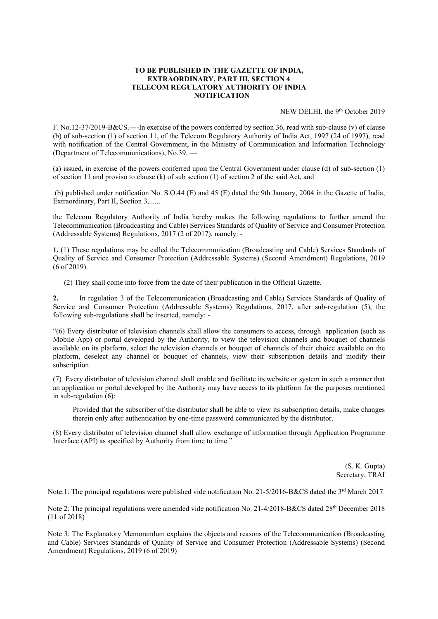## TO BE PUBLISHED IN THE GAZETTE OF INDIA, EXTRAORDINARY, PART III, SECTION 4 TELECOM REGULATORY AUTHORITY OF INDIA **NOTIFICATION**

NEW DELHI, the 9th October 2019

F. No.12-37/2019-B&CS.----In exercise of the powers conferred by section 36, read with sub-clause (v) of clause (b) of sub-section (1) of section 11, of the Telecom Regulatory Authority of India Act, 1997 (24 of 1997), read with notification of the Central Government, in the Ministry of Communication and Information Technology (Department of Telecommunications), No.39, —

(a) issued, in exercise of the powers conferred upon the Central Government under clause (d) of sub-section (1) of section 11 and proviso to clause (k) of sub section (1) of section 2 of the said Act, and

(b) published under notification No. S.O.44 (E) and 45 (E) dated the 9th January, 2004 in the Gazette of India, Extraordinary, Part II, Section 3,......

the Telecom Regulatory Authority of India hereby makes the following regulations to further amend the Telecommunication (Broadcasting and Cable) Services Standards of Quality of Service and Consumer Protection (Addressable Systems) Regulations, 2017 (2 of 2017), namely: -

1. (1) These regulations may be called the Telecommunication (Broadcasting and Cable) Services Standards of Quality of Service and Consumer Protection (Addressable Systems) (Second Amendment) Regulations, 2019 (6 of 2019).

(2) They shall come into force from the date of their publication in the Official Gazette.

2. In regulation 3 of the Telecommunication (Broadcasting and Cable) Services Standards of Quality of Service and Consumer Protection (Addressable Systems) Regulations, 2017, after sub-regulation (5), the following sub-regulations shall be inserted, namely: -

"(6) Every distributor of television channels shall allow the consumers to access, through application (such as Mobile App) or portal developed by the Authority, to view the television channels and bouquet of channels available on its platform, select the television channels or bouquet of channels of their choice available on the platform, deselect any channel or bouquet of channels, view their subscription details and modify their subscription.

(7) Every distributor of television channel shall enable and facilitate its website or system in such a manner that an application or portal developed by the Authority may have access to its platform for the purposes mentioned in sub-regulation (6):

Provided that the subscriber of the distributor shall be able to view its subscription details, make changes therein only after authentication by one-time password communicated by the distributor.

(8) Every distributor of television channel shall allow exchange of information through Application Programme Interface (API) as specified by Authority from time to time."

> (S. K. Gupta) Secretary, TRAI

Note.1: The principal regulations were published vide notification No. 21-5/2016-B&CS dated the 3<sup>rd</sup> March 2017.

Note 2: The principal regulations were amended vide notification No. 21-4/2018-B&CS dated 28th December 2018 (11 of 2018)

Note 3: The Explanatory Memorandum explains the objects and reasons of the Telecommunication (Broadcasting and Cable) Services Standards of Quality of Service and Consumer Protection (Addressable Systems) (Second Amendment) Regulations, 2019 (6 of 2019)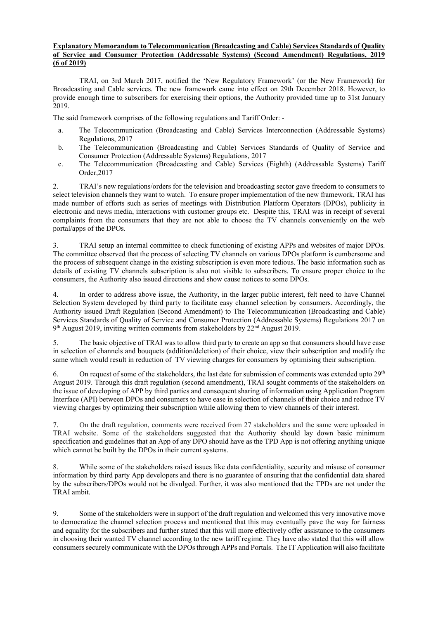## Explanatory Memorandum to Telecommunication (Broadcasting and Cable) Services Standards of Quality of Service and Consumer Protection (Addressable Systems) (Second Amendment) Regulations, 2019 (6 of 2019)

TRAI, on 3rd March 2017, notified the 'New Regulatory Framework' (or the New Framework) for Broadcasting and Cable services. The new framework came into effect on 29th December 2018. However, to provide enough time to subscribers for exercising their options, the Authority provided time up to 31st January 2019.

The said framework comprises of the following regulations and Tariff Order: -

- a. The Telecommunication (Broadcasting and Cable) Services Interconnection (Addressable Systems) Regulations, 2017
- b. The Telecommunication (Broadcasting and Cable) Services Standards of Quality of Service and Consumer Protection (Addressable Systems) Regulations, 2017
- c. The Telecommunication (Broadcasting and Cable) Services (Eighth) (Addressable Systems) Tariff Order,2017

2. TRAI's new regulations/orders for the television and broadcasting sector gave freedom to consumers to select television channels they want to watch. To ensure proper implementation of the new framework, TRAI has made number of efforts such as series of meetings with Distribution Platform Operators (DPOs), publicity in electronic and news media, interactions with customer groups etc. Despite this, TRAI was in receipt of several complaints from the consumers that they are not able to choose the TV channels conveniently on the web portal/apps of the DPOs.

3. TRAI setup an internal committee to check functioning of existing APPs and websites of major DPOs. The committee observed that the process of selecting TV channels on various DPOs platform is cumbersome and the process of subsequent change in the existing subscription is even more tedious. The basic information such as details of existing TV channels subscription is also not visible to subscribers. To ensure proper choice to the consumers, the Authority also issued directions and show cause notices to some DPOs.

4. In order to address above issue, the Authority, in the larger public interest, felt need to have Channel Selection System developed by third party to facilitate easy channel selection by consumers. Accordingly, the Authority issued Draft Regulation (Second Amendment) to The Telecommunication (Broadcasting and Cable) Services Standards of Quality of Service and Consumer Protection (Addressable Systems) Regulations 2017 on  $9<sup>th</sup>$  August 2019, inviting written comments from stakeholders by  $22<sup>nd</sup>$  August 2019.

5. The basic objective of TRAI was to allow third party to create an app so that consumers should have ease in selection of channels and bouquets (addition/deletion) of their choice, view their subscription and modify the same which would result in reduction of TV viewing charges for consumers by optimising their subscription.

6. On request of some of the stakeholders, the last date for submission of comments was extended upto  $29<sup>th</sup>$ August 2019. Through this draft regulation (second amendment), TRAI sought comments of the stakeholders on the issue of developing of APP by third parties and consequent sharing of information using Application Program Interface (API) between DPOs and consumers to have ease in selection of channels of their choice and reduce TV viewing charges by optimizing their subscription while allowing them to view channels of their interest.

7. On the draft regulation, comments were received from 27 stakeholders and the same were uploaded in TRAI website. Some of the stakeholders suggested that the Authority should lay down basic minimum specification and guidelines that an App of any DPO should have as the TPD App is not offering anything unique which cannot be built by the DPOs in their current systems.

8. While some of the stakeholders raised issues like data confidentiality, security and misuse of consumer information by third party App developers and there is no guarantee of ensuring that the confidential data shared by the subscribers/DPOs would not be divulged. Further, it was also mentioned that the TPDs are not under the TRAI ambit.

9. Some of the stakeholders were in support of the draft regulation and welcomed this very innovative move to democratize the channel selection process and mentioned that this may eventually pave the way for fairness and equality for the subscribers and further stated that this will more effectively offer assistance to the consumers in choosing their wanted TV channel according to the new tariff regime. They have also stated that this will allow consumers securely communicate with the DPOs through APPs and Portals. The IT Application will also facilitate